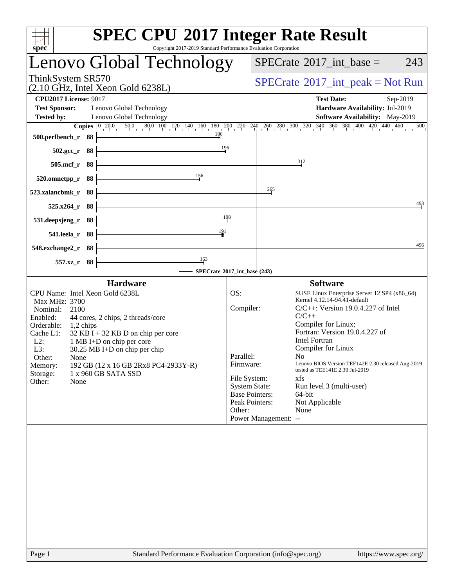| <b>SPEC CPU®2017 Integer Rate Result</b><br>Copyright 2017-2019 Standard Performance Evaluation Corporation<br>spec <sup>®</sup>                                                                                                                                                                                                                                                                                                      |                                                                      |                                                                                                                                                                                                                                                                                                                                                                                                                                                                                                                               |  |  |
|---------------------------------------------------------------------------------------------------------------------------------------------------------------------------------------------------------------------------------------------------------------------------------------------------------------------------------------------------------------------------------------------------------------------------------------|----------------------------------------------------------------------|-------------------------------------------------------------------------------------------------------------------------------------------------------------------------------------------------------------------------------------------------------------------------------------------------------------------------------------------------------------------------------------------------------------------------------------------------------------------------------------------------------------------------------|--|--|
| Lenovo Global Technology                                                                                                                                                                                                                                                                                                                                                                                                              | $SPECTate$ <sup>®</sup> 2017_int_base =<br>243                       |                                                                                                                                                                                                                                                                                                                                                                                                                                                                                                                               |  |  |
| ThinkSystem SR570<br>$(2.10 \text{ GHz}, \text{Intel Xeon Gold } 6238L)$                                                                                                                                                                                                                                                                                                                                                              | $SPECrate^{\circledcirc}2017\_int\_peak = Not Run$                   |                                                                                                                                                                                                                                                                                                                                                                                                                                                                                                                               |  |  |
| <b>CPU2017 License: 9017</b><br><b>Test Sponsor:</b><br>Lenovo Global Technology<br><b>Tested by:</b><br>Lenovo Global Technology                                                                                                                                                                                                                                                                                                     |                                                                      | <b>Test Date:</b><br>Sep-2019<br>Hardware Availability: Jul-2019<br>Software Availability: May-2019                                                                                                                                                                                                                                                                                                                                                                                                                           |  |  |
| 186<br>500.perlbench_r 88                                                                                                                                                                                                                                                                                                                                                                                                             |                                                                      | <b>Copies</b> $\begin{bmatrix} 0 & 20.0 & 50.0 & 80.0 & 100 & 120 & 140 & 160 & 180 & 200 & 220 & 240 & 260 & 280 & 300 & 320 & 340 & 360 & 380 & 400 & 420 & 440 & 460 \end{bmatrix}$<br>500                                                                                                                                                                                                                                                                                                                                 |  |  |
| 196<br>502.gcc_r 88<br>505.mcf_r 88                                                                                                                                                                                                                                                                                                                                                                                                   |                                                                      | $\frac{312}{2}$                                                                                                                                                                                                                                                                                                                                                                                                                                                                                                               |  |  |
| 156<br>88<br>520.omnetpp_r                                                                                                                                                                                                                                                                                                                                                                                                            |                                                                      | 265                                                                                                                                                                                                                                                                                                                                                                                                                                                                                                                           |  |  |
| 523.xalancbmk_r<br>- 88<br>88<br>525.x264                                                                                                                                                                                                                                                                                                                                                                                             |                                                                      | 493                                                                                                                                                                                                                                                                                                                                                                                                                                                                                                                           |  |  |
| 531.deepsjeng_r<br>- 88                                                                                                                                                                                                                                                                                                                                                                                                               | 198                                                                  |                                                                                                                                                                                                                                                                                                                                                                                                                                                                                                                               |  |  |
| 541.leela_r 88<br>548.exchange2_r 88                                                                                                                                                                                                                                                                                                                                                                                                  |                                                                      | 496                                                                                                                                                                                                                                                                                                                                                                                                                                                                                                                           |  |  |
| 163<br>557.xz_r 88<br>- SPECrate®2017_int_base (243)                                                                                                                                                                                                                                                                                                                                                                                  |                                                                      |                                                                                                                                                                                                                                                                                                                                                                                                                                                                                                                               |  |  |
| <b>Hardware</b><br>CPU Name: Intel Xeon Gold 6238L<br>Max MHz: 3700<br>Nominal:<br>2100<br>Enabled:<br>44 cores, 2 chips, 2 threads/core<br>Orderable:<br>$1,2$ chips<br>$32$ KB I + 32 KB D on chip per core<br>Cache L1:<br>1 MB I+D on chip per core<br>$L2$ :<br>L3:<br>$30.25$ MB I+D on chip per chip<br>Other:<br>None<br>192 GB (12 x 16 GB 2Rx8 PC4-2933Y-R)<br>Memory:<br>Storage:<br>1 x 960 GB SATA SSD<br>Other:<br>None | OS:<br>Compiler:<br>Parallel:<br>Firmware:<br>File System:<br>Other: | <b>Software</b><br>SUSE Linux Enterprise Server 12 SP4 (x86_64)<br>Kernel 4.12.14-94.41-default<br>$C/C++$ : Version 19.0.4.227 of Intel<br>$C/C++$<br>Compiler for Linux;<br>Fortran: Version 19.0.4.227 of<br><b>Intel Fortran</b><br>Compiler for Linux<br>No -<br>Lenovo BIOS Version TEE142E 2.30 released Aug-2019<br>tested as TEE141E 2.30 Jul-2019<br>xfs<br><b>System State:</b><br>Run level 3 (multi-user)<br><b>Base Pointers:</b><br>64-bit<br>Peak Pointers:<br>Not Applicable<br>None<br>Power Management: -- |  |  |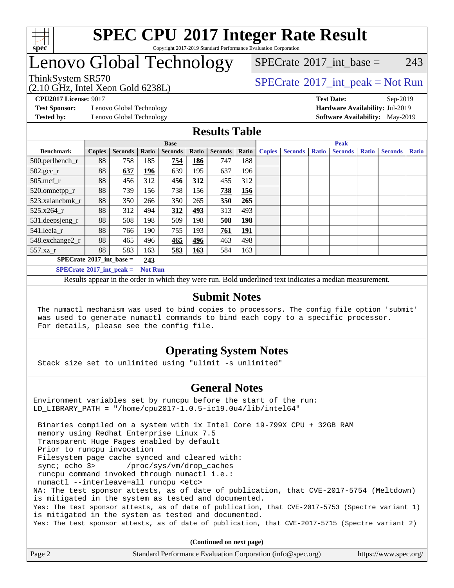

### **[SPEC CPU](http://www.spec.org/auto/cpu2017/Docs/result-fields.html#SPECCPU2017IntegerRateResult)[2017 Integer Rate Result](http://www.spec.org/auto/cpu2017/Docs/result-fields.html#SPECCPU2017IntegerRateResult)** Copyright 2017-2019 Standard Performance Evaluation Corporation

## Lenovo Global Technology

[SPECrate](http://www.spec.org/auto/cpu2017/Docs/result-fields.html#SPECrate2017intbase)<sup>®</sup>2017 int base = 243

(2.10 GHz, Intel Xeon Gold 6238L)

ThinkSystem SR570<br>  $SPECTA = Not Run$ <br>  $SPECTA = Not Run$ 

**[Test Sponsor:](http://www.spec.org/auto/cpu2017/Docs/result-fields.html#TestSponsor)** Lenovo Global Technology **[Hardware Availability:](http://www.spec.org/auto/cpu2017/Docs/result-fields.html#HardwareAvailability)** Jul-2019

**[CPU2017 License:](http://www.spec.org/auto/cpu2017/Docs/result-fields.html#CPU2017License)** 9017 **[Test Date:](http://www.spec.org/auto/cpu2017/Docs/result-fields.html#TestDate)** Sep-2019 **[Tested by:](http://www.spec.org/auto/cpu2017/Docs/result-fields.html#Testedby)** Lenovo Global Technology **[Software Availability:](http://www.spec.org/auto/cpu2017/Docs/result-fields.html#SoftwareAvailability)** May-2019

## **[Results Table](http://www.spec.org/auto/cpu2017/Docs/result-fields.html#ResultsTable)**

|                                                     | <b>Base</b>   |                |       |                |            | <b>Peak</b>    |            |               |                |              |                |              |                |              |
|-----------------------------------------------------|---------------|----------------|-------|----------------|------------|----------------|------------|---------------|----------------|--------------|----------------|--------------|----------------|--------------|
| <b>Benchmark</b>                                    | <b>Copies</b> | <b>Seconds</b> | Ratio | <b>Seconds</b> | Ratio      | <b>Seconds</b> | Ratio      | <b>Copies</b> | <b>Seconds</b> | <b>Ratio</b> | <b>Seconds</b> | <b>Ratio</b> | <b>Seconds</b> | <b>Ratio</b> |
| 500.perlbench_r                                     | 88            | 758            | 185   | 754            | 186        | 747            | 188        |               |                |              |                |              |                |              |
| $502.\text{gcc}_r$                                  | 88            | 637            | 196   | 639            | 195        | 637            | 196        |               |                |              |                |              |                |              |
| $505$ .mcf r                                        | 88            | 456            | 312   | 456            | 312        | 455            | 312        |               |                |              |                |              |                |              |
| 520.omnetpp_r                                       | 88            | 739            | 156   | 738            | 156        | 738            | 156        |               |                |              |                |              |                |              |
| 523.xalancbmk_r                                     | 88            | 350            | 266   | 350            | 265        | 350            | 265        |               |                |              |                |              |                |              |
| 525.x264 r                                          | 88            | 312            | 494   | 312            | <u>493</u> | 313            | 493        |               |                |              |                |              |                |              |
| 531.deepsjeng_r                                     | 88            | 508            | 198   | 509            | 198        | 508            | <u>198</u> |               |                |              |                |              |                |              |
| 541.leela r                                         | 88            | 766            | 190   | 755            | 193        | 761            | <u>191</u> |               |                |              |                |              |                |              |
| 548.exchange2_r                                     | 88            | 465            | 496   | 465            | 496        | 463            | 498        |               |                |              |                |              |                |              |
| $557.xz$ _r                                         | 88            | 583            | 163   | 583            | 163        | 584            | 163        |               |                |              |                |              |                |              |
| $SPECrate^{\circ}2017\_int\_base =$<br>243          |               |                |       |                |            |                |            |               |                |              |                |              |                |              |
| $SPECrate^{\circ}2017$ int peak =<br><b>Not Run</b> |               |                |       |                |            |                |            |               |                |              |                |              |                |              |

Results appear in the [order in which they were run](http://www.spec.org/auto/cpu2017/Docs/result-fields.html#RunOrder). Bold underlined text [indicates a median measurement](http://www.spec.org/auto/cpu2017/Docs/result-fields.html#Median).

## **[Submit Notes](http://www.spec.org/auto/cpu2017/Docs/result-fields.html#SubmitNotes)**

 The numactl mechanism was used to bind copies to processors. The config file option 'submit' was used to generate numactl commands to bind each copy to a specific processor. For details, please see the config file.

## **[Operating System Notes](http://www.spec.org/auto/cpu2017/Docs/result-fields.html#OperatingSystemNotes)**

Stack size set to unlimited using "ulimit -s unlimited"

## **[General Notes](http://www.spec.org/auto/cpu2017/Docs/result-fields.html#GeneralNotes)**

Environment variables set by runcpu before the start of the run: LD\_LIBRARY\_PATH = "/home/cpu2017-1.0.5-ic19.0u4/lib/intel64"

 Binaries compiled on a system with 1x Intel Core i9-799X CPU + 32GB RAM memory using Redhat Enterprise Linux 7.5 Transparent Huge Pages enabled by default Prior to runcpu invocation Filesystem page cache synced and cleared with: sync; echo 3> /proc/sys/vm/drop\_caches runcpu command invoked through numactl i.e.: numactl --interleave=all runcpu <etc> NA: The test sponsor attests, as of date of publication, that CVE-2017-5754 (Meltdown) is mitigated in the system as tested and documented. Yes: The test sponsor attests, as of date of publication, that CVE-2017-5753 (Spectre variant 1) is mitigated in the system as tested and documented. Yes: The test sponsor attests, as of date of publication, that CVE-2017-5715 (Spectre variant 2)

**(Continued on next page)**

| Page 2 | Standard Performance Evaluation Corporation (info@spec.org) | https://www.spec.org/ |
|--------|-------------------------------------------------------------|-----------------------|
|--------|-------------------------------------------------------------|-----------------------|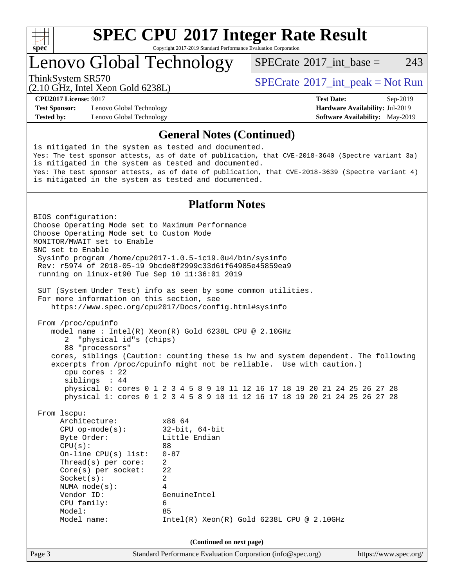

Copyright 2017-2019 Standard Performance Evaluation Corporation

## Lenovo Global Technology

[SPECrate](http://www.spec.org/auto/cpu2017/Docs/result-fields.html#SPECrate2017intbase)<sup>®</sup>2017 int base = 243

(2.10 GHz, Intel Xeon Gold 6238L)

ThinkSystem SR570<br>  $SPECTA = Not Run$ <br>  $SPECTA = Not Run$ 

**[Test Sponsor:](http://www.spec.org/auto/cpu2017/Docs/result-fields.html#TestSponsor)** Lenovo Global Technology **[Hardware Availability:](http://www.spec.org/auto/cpu2017/Docs/result-fields.html#HardwareAvailability)** Jul-2019 **[Tested by:](http://www.spec.org/auto/cpu2017/Docs/result-fields.html#Testedby)** Lenovo Global Technology **[Software Availability:](http://www.spec.org/auto/cpu2017/Docs/result-fields.html#SoftwareAvailability)** May-2019

**[CPU2017 License:](http://www.spec.org/auto/cpu2017/Docs/result-fields.html#CPU2017License)** 9017 **[Test Date:](http://www.spec.org/auto/cpu2017/Docs/result-fields.html#TestDate)** Sep-2019

### **[General Notes \(Continued\)](http://www.spec.org/auto/cpu2017/Docs/result-fields.html#GeneralNotes)**

is mitigated in the system as tested and documented. Yes: The test sponsor attests, as of date of publication, that CVE-2018-3640 (Spectre variant 3a) is mitigated in the system as tested and documented. Yes: The test sponsor attests, as of date of publication, that CVE-2018-3639 (Spectre variant 4) is mitigated in the system as tested and documented.

## **[Platform Notes](http://www.spec.org/auto/cpu2017/Docs/result-fields.html#PlatformNotes)**

Page 3 Standard Performance Evaluation Corporation [\(info@spec.org\)](mailto:info@spec.org) <https://www.spec.org/> BIOS configuration: Choose Operating Mode set to Maximum Performance Choose Operating Mode set to Custom Mode MONITOR/MWAIT set to Enable SNC set to Enable Sysinfo program /home/cpu2017-1.0.5-ic19.0u4/bin/sysinfo Rev: r5974 of 2018-05-19 9bcde8f2999c33d61f64985e45859ea9 running on linux-et90 Tue Sep 10 11:36:01 2019 SUT (System Under Test) info as seen by some common utilities. For more information on this section, see <https://www.spec.org/cpu2017/Docs/config.html#sysinfo> From /proc/cpuinfo model name : Intel(R) Xeon(R) Gold 6238L CPU @ 2.10GHz 2 "physical id"s (chips) 88 "processors" cores, siblings (Caution: counting these is hw and system dependent. The following excerpts from /proc/cpuinfo might not be reliable. Use with caution.) cpu cores : 22 siblings : 44 physical 0: cores 0 1 2 3 4 5 8 9 10 11 12 16 17 18 19 20 21 24 25 26 27 28 physical 1: cores 0 1 2 3 4 5 8 9 10 11 12 16 17 18 19 20 21 24 25 26 27 28 From lscpu: Architecture: x86\_64 CPU op-mode(s): 32-bit, 64-bit Byte Order: Little Endian  $CPU(s):$  88 On-line CPU(s) list: 0-87 Thread(s) per core: 2 Core(s) per socket: 22 Socket(s): 2 NUMA node(s): 4 Vendor ID: GenuineIntel CPU family: 6 Model: 85 Model name: Intel(R) Xeon(R) Gold 6238L CPU @ 2.10GHz **(Continued on next page)**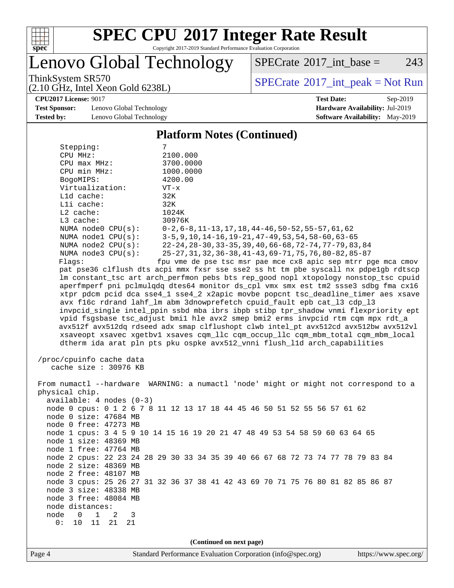

Copyright 2017-2019 Standard Performance Evaluation Corporation

Lenovo Global Technology

 $SPECTate$ <sup>®</sup>[2017\\_int\\_base =](http://www.spec.org/auto/cpu2017/Docs/result-fields.html#SPECrate2017intbase) 243

(2.10 GHz, Intel Xeon Gold 6238L)

 $SPECTate$ <sup>®</sup>[2017\\_int\\_peak = N](http://www.spec.org/auto/cpu2017/Docs/result-fields.html#SPECrate2017intpeak)ot Run

**[CPU2017 License:](http://www.spec.org/auto/cpu2017/Docs/result-fields.html#CPU2017License)** 9017 **[Test Date:](http://www.spec.org/auto/cpu2017/Docs/result-fields.html#TestDate)** Sep-2019

**[Test Sponsor:](http://www.spec.org/auto/cpu2017/Docs/result-fields.html#TestSponsor)** Lenovo Global Technology **[Hardware Availability:](http://www.spec.org/auto/cpu2017/Docs/result-fields.html#HardwareAvailability)** Jul-2019 **[Tested by:](http://www.spec.org/auto/cpu2017/Docs/result-fields.html#Testedby)** Lenovo Global Technology **[Software Availability:](http://www.spec.org/auto/cpu2017/Docs/result-fields.html#SoftwareAvailability)** May-2019

## **[Platform Notes \(Continued\)](http://www.spec.org/auto/cpu2017/Docs/result-fields.html#PlatformNotes)**

| Stepping:                | 7                                                                                                 |
|--------------------------|---------------------------------------------------------------------------------------------------|
| CPU MHz:                 | 2100.000                                                                                          |
| $CPU$ max $MHz$ :        | 3700.0000                                                                                         |
| CPU min MHz:             | 1000.0000                                                                                         |
| BogoMIPS:                | 4200.00                                                                                           |
| Virtualization:          | $VT - x$                                                                                          |
| L1d cache:               | 32K                                                                                               |
| $L1i$ cache:             | 32K                                                                                               |
| $L2$ cache:              | 1024K                                                                                             |
| L3 cache:                | 30976K                                                                                            |
| NUMA $node0$ $CPU(s):$   | 0-2,6-8,11-13,17,18,44-46,50-52,55-57,61,62                                                       |
| NUMA $node1$ $CPU(s):$   | 3-5, 9, 10, 14-16, 19-21, 47-49, 53, 54, 58-60, 63-65                                             |
| NUMA $node2$ $CPU(s)$ :  | $22 - 24$ , $28 - 30$ , $33 - 35$ , $39$ , $40$ , $66 - 68$ , $72 - 74$ , $77 - 79$ , $83$ , $84$ |
| NUMA node3 CPU(s):       | 25-27, 31, 32, 36-38, 41-43, 69-71, 75, 76, 80-82, 85-87                                          |
| Flaqs:                   | fpu yme de pse tsc msr pae mce cx8 apic sep mtrr pqe mca cmov                                     |
|                          | pat pse36 clflush dts acpi mmx fxsr sse sse2 ss ht tm pbe syscall nx pdpelgb rdtscp               |
|                          | lm constant_tsc art arch_perfmon pebs bts rep_good nopl xtopology nonstop_tsc cpuid               |
|                          | aperfmperf pni pclmulgdg dtes64 monitor ds cpl vmx smx est tm2 ssse3 sdbg fma cx16                |
|                          | xtpr pdcm pcid dca sse4_1 sse4_2 x2apic movbe popcnt tsc_deadline_timer aes xsave                 |
|                          | avx f16c rdrand lahf_lm abm 3dnowprefetch cpuid_fault epb cat_13 cdp_13                           |
|                          | invpcid_single intel_ppin ssbd mba ibrs ibpb stibp tpr_shadow vnmi flexpriority ept               |
|                          | vpid fsgsbase tsc_adjust bmil hle avx2 smep bmi2 erms invpcid rtm cqm mpx rdt_a                   |
|                          | avx512f avx512dq rdseed adx smap clflushopt clwb intel_pt avx512cd avx512bw avx512vl              |
|                          | xsaveopt xsavec xgetbvl xsaves cqm_llc cqm_occup_llc cqm_mbm_total cqm_mbm_local                  |
|                          | dtherm ida arat pln pts pku ospke avx512_vnni flush_lld arch_capabilities                         |
|                          |                                                                                                   |
| /proc/cpuinfo cache data |                                                                                                   |
| cache size $: 30976$ KB  |                                                                                                   |
|                          |                                                                                                   |
| From numactl --hardware  | WARNING: a numactl 'node' might or might not correspond to a                                      |
| physical chip.           |                                                                                                   |

ph available: 4 nodes (0-3) node 0 cpus: 0 1 2 6 7 8 11 12 13 17 18 44 45 46 50 51 52 55 56 57 61 62 node 0 size: 47684 MB node 0 free: 47273 MB node 1 cpus: 3 4 5 9 10 14 15 16 19 20 21 47 48 49 53 54 58 59 60 63 64 65 node 1 size: 48369 MB node 1 free: 47764 MB node 2 cpus: 22 23 24 28 29 30 33 34 35 39 40 66 67 68 72 73 74 77 78 79 83 84 node 2 size: 48369 MB node 2 free: 48107 MB node 3 cpus: 25 26 27 31 32 36 37 38 41 42 43 69 70 71 75 76 80 81 82 85 86 87 node 3 size: 48338 MB node 3 free: 48084 MB node distances: node 0 1 2 3 0: 10 11 21 21

**(Continued on next page)**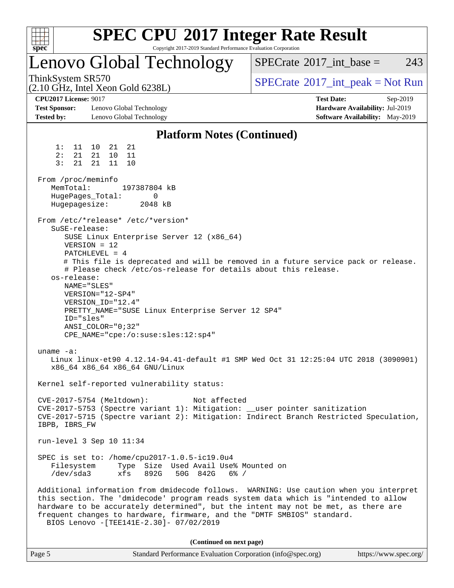| $spec^*$                                                                  | <b>SPEC CPU®2017 Integer Rate Result</b><br>Copyright 2017-2019 Standard Performance Evaluation Corporation                                                                                                                                                                                                                                                    |                                                                                                     |
|---------------------------------------------------------------------------|----------------------------------------------------------------------------------------------------------------------------------------------------------------------------------------------------------------------------------------------------------------------------------------------------------------------------------------------------------------|-----------------------------------------------------------------------------------------------------|
|                                                                           | Lenovo Global Technology                                                                                                                                                                                                                                                                                                                                       | $SPECTate$ <sup>®</sup> 2017_int_base =<br>243                                                      |
| ThinkSystem SR570                                                         | $(2.10 \text{ GHz}, \text{Intel Xeon Gold } 6238L)$                                                                                                                                                                                                                                                                                                            | $SPECrate^{\circledast}2017\_int\_peak = Not Run$                                                   |
| <b>CPU2017 License: 9017</b><br><b>Test Sponsor:</b><br><b>Tested by:</b> | Lenovo Global Technology<br>Lenovo Global Technology                                                                                                                                                                                                                                                                                                           | <b>Test Date:</b><br>Sep-2019<br>Hardware Availability: Jul-2019<br>Software Availability: May-2019 |
|                                                                           | <b>Platform Notes (Continued)</b>                                                                                                                                                                                                                                                                                                                              |                                                                                                     |
| 1:<br>11<br>2:<br>21<br>3:<br>21                                          | 10<br>21<br>21<br>21<br>10<br>11<br>21<br>11<br>10                                                                                                                                                                                                                                                                                                             |                                                                                                     |
| From /proc/meminfo<br>MemTotal:<br>Hugepagesize:                          | 197387804 kB<br>HugePages_Total:<br>0<br>2048 kB                                                                                                                                                                                                                                                                                                               |                                                                                                     |
| SuSE-release:<br>os-release:<br>ID="sles"                                 | From /etc/*release* /etc/*version*<br>SUSE Linux Enterprise Server 12 (x86_64)<br>$VERSION = 12$<br>$PATCHLEVEL = 4$<br># Please check /etc/os-release for details about this release.<br>NAME="SLES"<br>VERSION="12-SP4"<br>VERSION_ID="12.4"<br>PRETTY_NAME="SUSE Linux Enterprise Server 12 SP4"<br>ANSI COLOR="0;32"<br>CPE_NAME="cpe:/o:suse:sles:12:sp4" | # This file is deprecated and will be removed in a future service pack or release.                  |
| uname $-a$ :                                                              | x86 64 x86 64 x86 64 GNU/Linux                                                                                                                                                                                                                                                                                                                                 | Linux linux-et90 4.12.14-94.41-default #1 SMP Wed Oct 31 12:25:04 UTC 2018 (3090901)                |
|                                                                           | Kernel self-reported vulnerability status:                                                                                                                                                                                                                                                                                                                     |                                                                                                     |
| IBPB, IBRS_FW                                                             | CVE-2017-5754 (Meltdown):<br>Not affected<br>CVE-2017-5753 (Spectre variant 1): Mitigation: __user pointer sanitization                                                                                                                                                                                                                                        | CVE-2017-5715 (Spectre variant 2): Mitigation: Indirect Branch Restricted Speculation,              |
|                                                                           | run-level 3 Sep 10 11:34                                                                                                                                                                                                                                                                                                                                       |                                                                                                     |
| Filesystem<br>/dev/sda3                                                   | SPEC is set to: /home/cpu2017-1.0.5-ic19.0u4<br>Type Size Used Avail Use% Mounted on<br>xfs<br>892G<br>50G 842G 6% /                                                                                                                                                                                                                                           |                                                                                                     |
|                                                                           | this section. The 'dmidecode' program reads system data which is "intended to allow<br>hardware to be accurately determined", but the intent may not be met, as there are<br>frequent changes to hardware, firmware, and the "DMTF SMBIOS" standard.<br>BIOS Lenovo - [TEE141E-2.30]- 07/02/2019                                                               | Additional information from dmidecode follows. WARNING: Use caution when you interpret              |
|                                                                           | (Continued on next page)                                                                                                                                                                                                                                                                                                                                       |                                                                                                     |

| Page 5 | Standard Performance Evaluation Corporation (info@spec.org) | https://www.spec.org/ |
|--------|-------------------------------------------------------------|-----------------------|
|--------|-------------------------------------------------------------|-----------------------|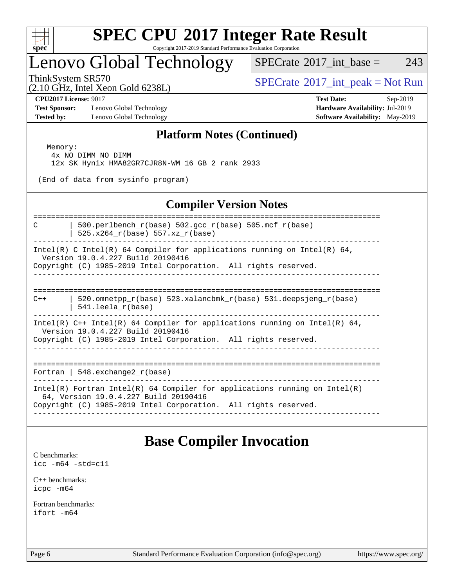

Copyright 2017-2019 Standard Performance Evaluation Corporation

## Lenovo Global Technology

 $SPECTate$ <sup>®</sup>[2017\\_int\\_base =](http://www.spec.org/auto/cpu2017/Docs/result-fields.html#SPECrate2017intbase) 243

(2.10 GHz, Intel Xeon Gold 6238L)

ThinkSystem SR570<br>  $SPECTA = Not Run$ <br>  $SPECTA = Not Run$ 

**[Test Sponsor:](http://www.spec.org/auto/cpu2017/Docs/result-fields.html#TestSponsor)** Lenovo Global Technology **[Hardware Availability:](http://www.spec.org/auto/cpu2017/Docs/result-fields.html#HardwareAvailability)** Jul-2019 **[Tested by:](http://www.spec.org/auto/cpu2017/Docs/result-fields.html#Testedby)** Lenovo Global Technology **[Software Availability:](http://www.spec.org/auto/cpu2017/Docs/result-fields.html#SoftwareAvailability)** May-2019

**[CPU2017 License:](http://www.spec.org/auto/cpu2017/Docs/result-fields.html#CPU2017License)** 9017 **[Test Date:](http://www.spec.org/auto/cpu2017/Docs/result-fields.html#TestDate)** Sep-2019

## **[Platform Notes \(Continued\)](http://www.spec.org/auto/cpu2017/Docs/result-fields.html#PlatformNotes)**

 Memory: 4x NO DIMM NO DIMM 12x SK Hynix HMA82GR7CJR8N-WM 16 GB 2 rank 2933

(End of data from sysinfo program)

## **[Compiler Version Notes](http://www.spec.org/auto/cpu2017/Docs/result-fields.html#CompilerVersionNotes)**

============================================================================== C | 500.perlbench  $r(base)$  502.gcc  $r(base)$  505.mcf  $r(base)$ 

| 525.x264\_r(base) 557.xz\_r(base)

------------------------------------------------------------------------------ Intel(R) C Intel(R) 64 Compiler for applications running on Intel(R) 64, Version 19.0.4.227 Build 20190416

Copyright (C) 1985-2019 Intel Corporation. All rights reserved. ------------------------------------------------------------------------------

==============================================================================  $C++$  | 520.omnetpp  $r(base)$  523.xalancbmk  $r(base)$  531.deepsjeng  $r(base)$ | 541.leela\_r(base)

------------------------------------------------------------------------------

Intel(R)  $C++$  Intel(R) 64 Compiler for applications running on Intel(R) 64, Version 19.0.4.227 Build 20190416

Copyright (C) 1985-2019 Intel Corporation. All rights reserved. ------------------------------------------------------------------------------

============================================================================== Fortran | 548.exchange2 $r(base)$ 

------------------------------------------------------------------------------

Intel(R) Fortran Intel(R) 64 Compiler for applications running on Intel(R)

64, Version 19.0.4.227 Build 20190416

Copyright (C) 1985-2019 Intel Corporation. All rights reserved. ------------------------------------------------------------------------------

## **[Base Compiler Invocation](http://www.spec.org/auto/cpu2017/Docs/result-fields.html#BaseCompilerInvocation)**

[C benchmarks](http://www.spec.org/auto/cpu2017/Docs/result-fields.html#Cbenchmarks): [icc -m64 -std=c11](http://www.spec.org/cpu2017/results/res2019q4/cpu2017-20190916-18207.flags.html#user_CCbase_intel_icc_64bit_c11_33ee0cdaae7deeeab2a9725423ba97205ce30f63b9926c2519791662299b76a0318f32ddfffdc46587804de3178b4f9328c46fa7c2b0cd779d7a61945c91cd35)

[C++ benchmarks:](http://www.spec.org/auto/cpu2017/Docs/result-fields.html#CXXbenchmarks) [icpc -m64](http://www.spec.org/cpu2017/results/res2019q4/cpu2017-20190916-18207.flags.html#user_CXXbase_intel_icpc_64bit_4ecb2543ae3f1412ef961e0650ca070fec7b7afdcd6ed48761b84423119d1bf6bdf5cad15b44d48e7256388bc77273b966e5eb805aefd121eb22e9299b2ec9d9)

[Fortran benchmarks](http://www.spec.org/auto/cpu2017/Docs/result-fields.html#Fortranbenchmarks): [ifort -m64](http://www.spec.org/cpu2017/results/res2019q4/cpu2017-20190916-18207.flags.html#user_FCbase_intel_ifort_64bit_24f2bb282fbaeffd6157abe4f878425411749daecae9a33200eee2bee2fe76f3b89351d69a8130dd5949958ce389cf37ff59a95e7a40d588e8d3a57e0c3fd751)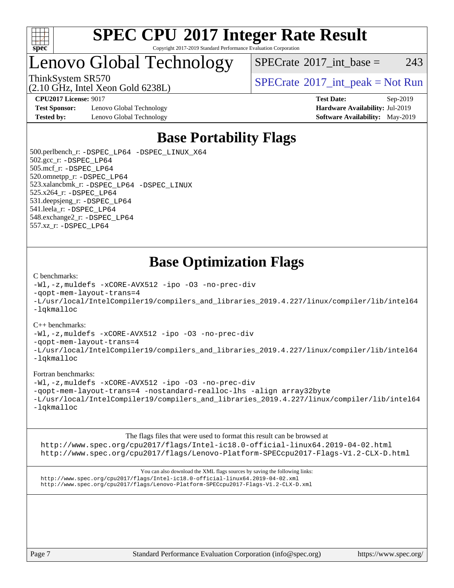

### **[SPEC CPU](http://www.spec.org/auto/cpu2017/Docs/result-fields.html#SPECCPU2017IntegerRateResult)[2017 Integer Rate Result](http://www.spec.org/auto/cpu2017/Docs/result-fields.html#SPECCPU2017IntegerRateResult)** Copyright 2017-2019 Standard Performance Evaluation Corporation

## Lenovo Global Technology

 $SPECTate$ <sup>®</sup>[2017\\_int\\_base =](http://www.spec.org/auto/cpu2017/Docs/result-fields.html#SPECrate2017intbase) 243

(2.10 GHz, Intel Xeon Gold 6238L)

**[Test Sponsor:](http://www.spec.org/auto/cpu2017/Docs/result-fields.html#TestSponsor)** Lenovo Global Technology **[Hardware Availability:](http://www.spec.org/auto/cpu2017/Docs/result-fields.html#HardwareAvailability)** Jul-2019 **[Tested by:](http://www.spec.org/auto/cpu2017/Docs/result-fields.html#Testedby)** Lenovo Global Technology **[Software Availability:](http://www.spec.org/auto/cpu2017/Docs/result-fields.html#SoftwareAvailability)** May-2019

ThinkSystem SR570<br>  $SPECTA = Not Run$ <br>  $SPECTA = Not Run$ 

**[CPU2017 License:](http://www.spec.org/auto/cpu2017/Docs/result-fields.html#CPU2017License)** 9017 **[Test Date:](http://www.spec.org/auto/cpu2017/Docs/result-fields.html#TestDate)** Sep-2019

## **[Base Portability Flags](http://www.spec.org/auto/cpu2017/Docs/result-fields.html#BasePortabilityFlags)**

 500.perlbench\_r: [-DSPEC\\_LP64](http://www.spec.org/cpu2017/results/res2019q4/cpu2017-20190916-18207.flags.html#b500.perlbench_r_basePORTABILITY_DSPEC_LP64) [-DSPEC\\_LINUX\\_X64](http://www.spec.org/cpu2017/results/res2019q4/cpu2017-20190916-18207.flags.html#b500.perlbench_r_baseCPORTABILITY_DSPEC_LINUX_X64) 502.gcc\_r: [-DSPEC\\_LP64](http://www.spec.org/cpu2017/results/res2019q4/cpu2017-20190916-18207.flags.html#suite_basePORTABILITY502_gcc_r_DSPEC_LP64) 505.mcf\_r: [-DSPEC\\_LP64](http://www.spec.org/cpu2017/results/res2019q4/cpu2017-20190916-18207.flags.html#suite_basePORTABILITY505_mcf_r_DSPEC_LP64) 520.omnetpp\_r: [-DSPEC\\_LP64](http://www.spec.org/cpu2017/results/res2019q4/cpu2017-20190916-18207.flags.html#suite_basePORTABILITY520_omnetpp_r_DSPEC_LP64) 523.xalancbmk\_r: [-DSPEC\\_LP64](http://www.spec.org/cpu2017/results/res2019q4/cpu2017-20190916-18207.flags.html#suite_basePORTABILITY523_xalancbmk_r_DSPEC_LP64) [-DSPEC\\_LINUX](http://www.spec.org/cpu2017/results/res2019q4/cpu2017-20190916-18207.flags.html#b523.xalancbmk_r_baseCXXPORTABILITY_DSPEC_LINUX) 525.x264\_r: [-DSPEC\\_LP64](http://www.spec.org/cpu2017/results/res2019q4/cpu2017-20190916-18207.flags.html#suite_basePORTABILITY525_x264_r_DSPEC_LP64) 531.deepsjeng\_r: [-DSPEC\\_LP64](http://www.spec.org/cpu2017/results/res2019q4/cpu2017-20190916-18207.flags.html#suite_basePORTABILITY531_deepsjeng_r_DSPEC_LP64) 541.leela\_r: [-DSPEC\\_LP64](http://www.spec.org/cpu2017/results/res2019q4/cpu2017-20190916-18207.flags.html#suite_basePORTABILITY541_leela_r_DSPEC_LP64) 548.exchange2\_r: [-DSPEC\\_LP64](http://www.spec.org/cpu2017/results/res2019q4/cpu2017-20190916-18207.flags.html#suite_basePORTABILITY548_exchange2_r_DSPEC_LP64) 557.xz\_r: [-DSPEC\\_LP64](http://www.spec.org/cpu2017/results/res2019q4/cpu2017-20190916-18207.flags.html#suite_basePORTABILITY557_xz_r_DSPEC_LP64)

## **[Base Optimization Flags](http://www.spec.org/auto/cpu2017/Docs/result-fields.html#BaseOptimizationFlags)**

### [C benchmarks](http://www.spec.org/auto/cpu2017/Docs/result-fields.html#Cbenchmarks):

[-Wl,-z,muldefs](http://www.spec.org/cpu2017/results/res2019q4/cpu2017-20190916-18207.flags.html#user_CCbase_link_force_multiple1_b4cbdb97b34bdee9ceefcfe54f4c8ea74255f0b02a4b23e853cdb0e18eb4525ac79b5a88067c842dd0ee6996c24547a27a4b99331201badda8798ef8a743f577) [-xCORE-AVX512](http://www.spec.org/cpu2017/results/res2019q4/cpu2017-20190916-18207.flags.html#user_CCbase_f-xCORE-AVX512) [-ipo](http://www.spec.org/cpu2017/results/res2019q4/cpu2017-20190916-18207.flags.html#user_CCbase_f-ipo) [-O3](http://www.spec.org/cpu2017/results/res2019q4/cpu2017-20190916-18207.flags.html#user_CCbase_f-O3) [-no-prec-div](http://www.spec.org/cpu2017/results/res2019q4/cpu2017-20190916-18207.flags.html#user_CCbase_f-no-prec-div) [-qopt-mem-layout-trans=4](http://www.spec.org/cpu2017/results/res2019q4/cpu2017-20190916-18207.flags.html#user_CCbase_f-qopt-mem-layout-trans_fa39e755916c150a61361b7846f310bcdf6f04e385ef281cadf3647acec3f0ae266d1a1d22d972a7087a248fd4e6ca390a3634700869573d231a252c784941a8) [-L/usr/local/IntelCompiler19/compilers\\_and\\_libraries\\_2019.4.227/linux/compiler/lib/intel64](http://www.spec.org/cpu2017/results/res2019q4/cpu2017-20190916-18207.flags.html#user_CCbase_qkmalloc_link_0ffe0cb02c68ef1b443a077c7888c10c67ca0d1dd7138472156f06a085bbad385f78d49618ad55dca9db3b1608e84afc2f69b4003b1d1ca498a9fc1462ccefda) [-lqkmalloc](http://www.spec.org/cpu2017/results/res2019q4/cpu2017-20190916-18207.flags.html#user_CCbase_qkmalloc_link_lib_79a818439969f771c6bc311cfd333c00fc099dad35c030f5aab9dda831713d2015205805422f83de8875488a2991c0a156aaa600e1f9138f8fc37004abc96dc5)

### [C++ benchmarks](http://www.spec.org/auto/cpu2017/Docs/result-fields.html#CXXbenchmarks):

[-Wl,-z,muldefs](http://www.spec.org/cpu2017/results/res2019q4/cpu2017-20190916-18207.flags.html#user_CXXbase_link_force_multiple1_b4cbdb97b34bdee9ceefcfe54f4c8ea74255f0b02a4b23e853cdb0e18eb4525ac79b5a88067c842dd0ee6996c24547a27a4b99331201badda8798ef8a743f577) [-xCORE-AVX512](http://www.spec.org/cpu2017/results/res2019q4/cpu2017-20190916-18207.flags.html#user_CXXbase_f-xCORE-AVX512) [-ipo](http://www.spec.org/cpu2017/results/res2019q4/cpu2017-20190916-18207.flags.html#user_CXXbase_f-ipo) [-O3](http://www.spec.org/cpu2017/results/res2019q4/cpu2017-20190916-18207.flags.html#user_CXXbase_f-O3) [-no-prec-div](http://www.spec.org/cpu2017/results/res2019q4/cpu2017-20190916-18207.flags.html#user_CXXbase_f-no-prec-div)

[-qopt-mem-layout-trans=4](http://www.spec.org/cpu2017/results/res2019q4/cpu2017-20190916-18207.flags.html#user_CXXbase_f-qopt-mem-layout-trans_fa39e755916c150a61361b7846f310bcdf6f04e385ef281cadf3647acec3f0ae266d1a1d22d972a7087a248fd4e6ca390a3634700869573d231a252c784941a8)

[-L/usr/local/IntelCompiler19/compilers\\_and\\_libraries\\_2019.4.227/linux/compiler/lib/intel64](http://www.spec.org/cpu2017/results/res2019q4/cpu2017-20190916-18207.flags.html#user_CXXbase_qkmalloc_link_0ffe0cb02c68ef1b443a077c7888c10c67ca0d1dd7138472156f06a085bbad385f78d49618ad55dca9db3b1608e84afc2f69b4003b1d1ca498a9fc1462ccefda) [-lqkmalloc](http://www.spec.org/cpu2017/results/res2019q4/cpu2017-20190916-18207.flags.html#user_CXXbase_qkmalloc_link_lib_79a818439969f771c6bc311cfd333c00fc099dad35c030f5aab9dda831713d2015205805422f83de8875488a2991c0a156aaa600e1f9138f8fc37004abc96dc5)

### [Fortran benchmarks](http://www.spec.org/auto/cpu2017/Docs/result-fields.html#Fortranbenchmarks):

[-Wl,-z,muldefs](http://www.spec.org/cpu2017/results/res2019q4/cpu2017-20190916-18207.flags.html#user_FCbase_link_force_multiple1_b4cbdb97b34bdee9ceefcfe54f4c8ea74255f0b02a4b23e853cdb0e18eb4525ac79b5a88067c842dd0ee6996c24547a27a4b99331201badda8798ef8a743f577) [-xCORE-AVX512](http://www.spec.org/cpu2017/results/res2019q4/cpu2017-20190916-18207.flags.html#user_FCbase_f-xCORE-AVX512) [-ipo](http://www.spec.org/cpu2017/results/res2019q4/cpu2017-20190916-18207.flags.html#user_FCbase_f-ipo) [-O3](http://www.spec.org/cpu2017/results/res2019q4/cpu2017-20190916-18207.flags.html#user_FCbase_f-O3) [-no-prec-div](http://www.spec.org/cpu2017/results/res2019q4/cpu2017-20190916-18207.flags.html#user_FCbase_f-no-prec-div) [-qopt-mem-layout-trans=4](http://www.spec.org/cpu2017/results/res2019q4/cpu2017-20190916-18207.flags.html#user_FCbase_f-qopt-mem-layout-trans_fa39e755916c150a61361b7846f310bcdf6f04e385ef281cadf3647acec3f0ae266d1a1d22d972a7087a248fd4e6ca390a3634700869573d231a252c784941a8) [-nostandard-realloc-lhs](http://www.spec.org/cpu2017/results/res2019q4/cpu2017-20190916-18207.flags.html#user_FCbase_f_2003_std_realloc_82b4557e90729c0f113870c07e44d33d6f5a304b4f63d4c15d2d0f1fab99f5daaed73bdb9275d9ae411527f28b936061aa8b9c8f2d63842963b95c9dd6426b8a) [-align array32byte](http://www.spec.org/cpu2017/results/res2019q4/cpu2017-20190916-18207.flags.html#user_FCbase_align_array32byte_b982fe038af199962ba9a80c053b8342c548c85b40b8e86eb3cc33dee0d7986a4af373ac2d51c3f7cf710a18d62fdce2948f201cd044323541f22fc0fffc51b6) [-L/usr/local/IntelCompiler19/compilers\\_and\\_libraries\\_2019.4.227/linux/compiler/lib/intel64](http://www.spec.org/cpu2017/results/res2019q4/cpu2017-20190916-18207.flags.html#user_FCbase_qkmalloc_link_0ffe0cb02c68ef1b443a077c7888c10c67ca0d1dd7138472156f06a085bbad385f78d49618ad55dca9db3b1608e84afc2f69b4003b1d1ca498a9fc1462ccefda) [-lqkmalloc](http://www.spec.org/cpu2017/results/res2019q4/cpu2017-20190916-18207.flags.html#user_FCbase_qkmalloc_link_lib_79a818439969f771c6bc311cfd333c00fc099dad35c030f5aab9dda831713d2015205805422f83de8875488a2991c0a156aaa600e1f9138f8fc37004abc96dc5)

[The flags files that were used to format this result can be browsed at](tmsearch) <http://www.spec.org/cpu2017/flags/Intel-ic18.0-official-linux64.2019-04-02.html> <http://www.spec.org/cpu2017/flags/Lenovo-Platform-SPECcpu2017-Flags-V1.2-CLX-D.html>

[You can also download the XML flags sources by saving the following links:](tmsearch) <http://www.spec.org/cpu2017/flags/Intel-ic18.0-official-linux64.2019-04-02.xml> <http://www.spec.org/cpu2017/flags/Lenovo-Platform-SPECcpu2017-Flags-V1.2-CLX-D.xml>